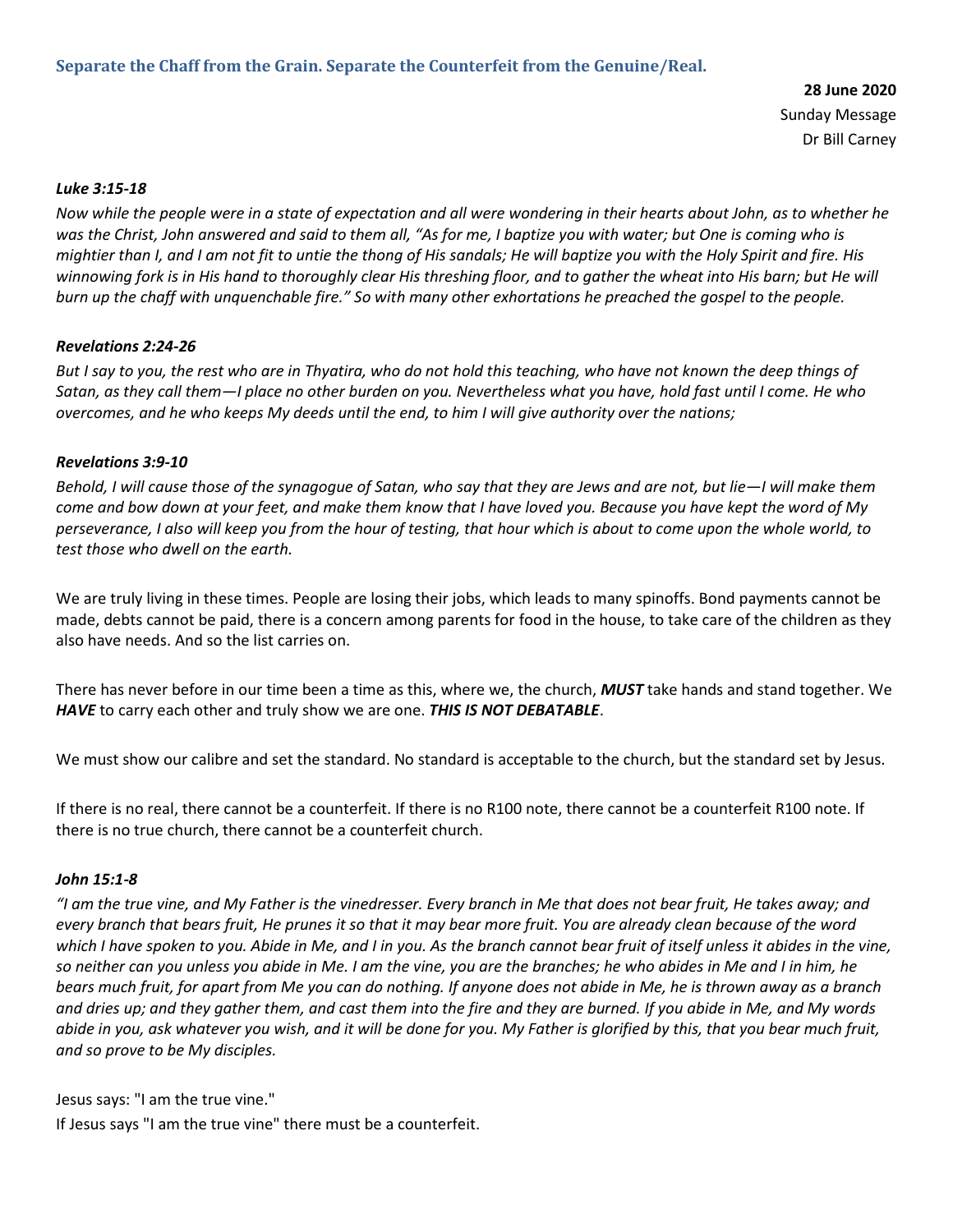**28 June 2020** Sunday Message Dr Bill Carney

## *Luke 3:15-18*

*Now while the people were in a state of expectation and all were wondering in their hearts about John, as to whether he*  was the Christ, John answered and said to them all, "As for me, I baptize you with water; but One is coming who is *mightier than I, and I am not fit to untie the thong of His sandals; He will baptize you with the Holy Spirit and fire. His winnowing fork is in His hand to thoroughly clear His threshing floor, and to gather the wheat into His barn; but He will burn up the chaff with unquenchable fire." So with many other exhortations he preached the gospel to the people.*

## *Revelations 2:24-26*

*But I say to you, the rest who are in Thyatira, who do not hold this teaching, who have not known the deep things of Satan, as they call them—I place no other burden on you. Nevertheless what you have, hold fast until I come. He who overcomes, and he who keeps My deeds until the end, to him I will give authority over the nations;*

## *Revelations 3:9-10*

*Behold, I will cause those of the synagogue of Satan, who say that they are Jews and are not, but lie—I will make them come and bow down at your feet, and make them know that I have loved you. Because you have kept the word of My perseverance, I also will keep you from the hour of testing, that hour which is about to come upon the whole world, to test those who dwell on the earth.*

We are truly living in these times. People are losing their jobs, which leads to many spinoffs. Bond payments cannot be made, debts cannot be paid, there is a concern among parents for food in the house, to take care of the children as they also have needs. And so the list carries on.

There has never before in our time been a time as this, where we, the church, *MUST* take hands and stand together. We *HAVE* to carry each other and truly show we are one. *THIS IS NOT DEBATABLE*.

We must show our calibre and set the standard. No standard is acceptable to the church, but the standard set by Jesus.

If there is no real, there cannot be a counterfeit. If there is no R100 note, there cannot be a counterfeit R100 note. If there is no true church, there cannot be a counterfeit church.

#### *John 15:1-8*

*"I am the true vine, and My Father is the vinedresser. Every branch in Me that does not bear fruit, He takes away; and every branch that bears fruit, He prunes it so that it may bear more fruit. You are already clean because of the word which I have spoken to you. Abide in Me, and I in you. As the branch cannot bear fruit of itself unless it abides in the vine, so neither can you unless you abide in Me. I am the vine, you are the branches; he who abides in Me and I in him, he bears much fruit, for apart from Me you can do nothing. If anyone does not abide in Me, he is thrown away as a branch and dries up; and they gather them, and cast them into the fire and they are burned. If you abide in Me, and My words abide in you, ask whatever you wish, and it will be done for you. My Father is glorified by this, that you bear much fruit, and so prove to be My disciples.*

Jesus says: "I am the true vine."

If Jesus says "I am the true vine" there must be a counterfeit.